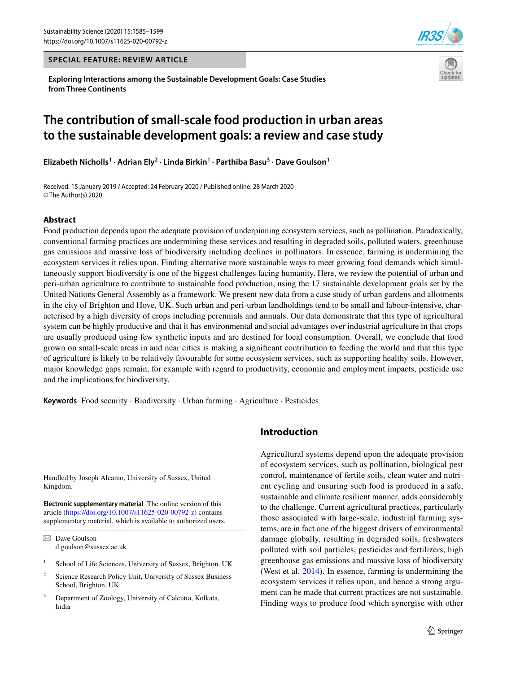#### **SPECIAL FEATURE: REVIEW ARTICLE**

**Exploring Interactions among the Sustainable Development Goals: Case Studies from Three Continents**

# **The contribution of small‑scale food production in urban areas to the sustainable development goals: a review and case study**

**Elizabeth Nicholls<sup>1</sup> · Adrian Ely<sup>2</sup> · Linda Birkin<sup>1</sup> · Parthiba Basu<sup>3</sup> · Dave Goulson<sup>1</sup>**

Received: 15 January 2019 / Accepted: 24 February 2020 / Published online: 28 March 2020 © The Author(s) 2020

#### **Abstract**

Food production depends upon the adequate provision of underpinning ecosystem services, such as pollination. Paradoxically, conventional farming practices are undermining these services and resulting in degraded soils, polluted waters, greenhouse gas emissions and massive loss of biodiversity including declines in pollinators. In essence, farming is undermining the ecosystem services it relies upon. Finding alternative more sustainable ways to meet growing food demands which simultaneously support biodiversity is one of the biggest challenges facing humanity. Here, we review the potential of urban and peri-urban agriculture to contribute to sustainable food production, using the 17 sustainable development goals set by the United Nations General Assembly as a framework. We present new data from a case study of urban gardens and allotments in the city of Brighton and Hove, UK. Such urban and peri-urban landholdings tend to be small and labour-intensive, characterised by a high diversity of crops including perennials and annuals. Our data demonstrate that this type of agricultural system can be highly productive and that it has environmental and social advantages over industrial agriculture in that crops are usually produced using few synthetic inputs and are destined for local consumption. Overall, we conclude that food grown on small-scale areas in and near cities is making a significant contribution to feeding the world and that this type of agriculture is likely to be relatively favourable for some ecosystem services, such as supporting healthy soils. However, major knowledge gaps remain, for example with regard to productivity, economic and employment impacts, pesticide use and the implications for biodiversity.

**Keywords** Food security · Biodiversity · Urban farming · Agriculture · Pesticides

Handled by Joseph Alcamo, University of Sussex, United Kingdom.

**Electronic supplementary material** The online version of this article (https://doi.org/10.1007/s11625-020-00792-z) contains supplementary material, which is available to authorized users.

- 1 School of Life Sciences, University of Sussex, Brighton, UK
- 2 Science Research Policy Unit, University of Sussex Business School, Brighton, UK
- 3 Department of Zoology, University of Calcutta, Kolkata, India

## **Introduction**

Agricultural systems depend upon the adequate provision of ecosystem services, such as pollination, biological pest control, maintenance of fertile soils, clean water and nutrient cycling and ensuring such food is produced in a safe, sustainable and climate resilient manner, adds considerably to the challenge. Current agricultural practices, particularly those associated with large-scale, industrial farming systems, are in fact one of the biggest drivers of environmental damage globally, resulting in degraded soils, freshwaters polluted with soil particles, pesticides and fertilizers, high greenhouse gas emissions and massive loss of biodiversity (West et al. [2014\)](#page-14-0). In essence, farming is undermining the ecosystem services it relies upon, and hence a strong argument can be made that current practices are not sustainable. Finding ways to produce food which synergise with other

 $\boxtimes$  Dave Goulson d.goulson@sussex.ac.uk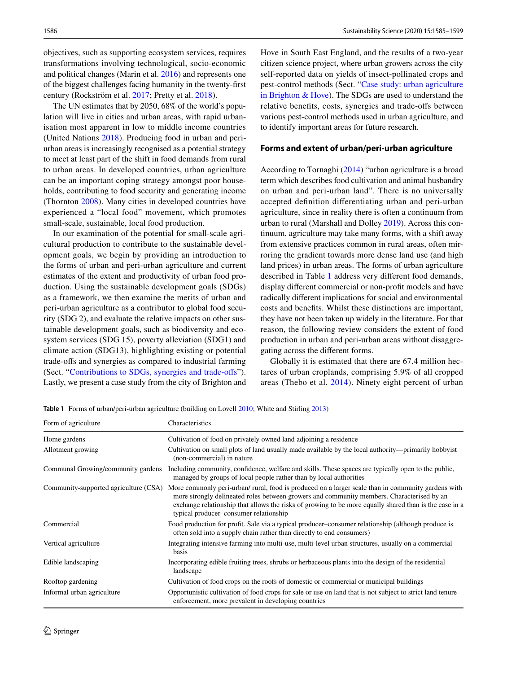objectives, such as supporting ecosystem services, requires transformations involving technological, socio-economic and political changes (Marin et al. [2016](#page-12-0)) and represents one of the biggest challenges facing humanity in the twenty-first century (Rockström et al. [2017;](#page-13-0) Pretty et al. [2018\)](#page-13-1).

The UN estimates that by 2050, 68% of the world's population will live in cities and urban areas, with rapid urbanisation most apparent in low to middle income countries (United Nations [2018\)](#page-13-2). Producing food in urban and periurban areas is increasingly recognised as a potential strategy to meet at least part of the shift in food demands from rural to urban areas. In developed countries, urban agriculture can be an important coping strategy amongst poor households, contributing to food security and generating income (Thornton [2008\)](#page-13-3). Many cities in developed countries have experienced a "local food" movement, which promotes small-scale, sustainable, local food production.

In our examination of the potential for small-scale agricultural production to contribute to the sustainable development goals, we begin by providing an introduction to the forms of urban and peri-urban agriculture and current estimates of the extent and productivity of urban food production. Using the sustainable development goals (SDGs) as a framework, we then examine the merits of urban and peri-urban agriculture as a contributor to global food security (SDG 2), and evaluate the relative impacts on other sustainable development goals, such as biodiversity and ecosystem services (SDG 15), poverty alleviation (SDG1) and climate action (SDG13), highlighting existing or potential trade-offs and synergies as compared to industrial farming (Sect. "[Contributions to SDGs, synergies and trade-offs"](#page-2-0)). Lastly, we present a case study from the city of Brighton and Hove in South East England, and the results of a two-year citizen science project, where urban growers across the city self-reported data on yields of insect-pollinated crops and pest-control methods (Sect. "[Case study: urban agriculture](#page-8-0) [in Brighton & Hove](#page-8-0)). The SDGs are used to understand the relative benefits, costs, synergies and trade-offs between various pest-control methods used in urban agriculture, and to identify important areas for future research.

#### **Forms and extent of urban/peri‑urban agriculture**

According to Tornaghi ([2014\)](#page-13-4) "urban agriculture is a broad term which describes food cultivation and animal husbandry on urban and peri-urban land". There is no universally accepted definition differentiating urban and peri-urban agriculture, since in reality there is often a continuum from urban to rural (Marshall and Dolley [2019](#page-12-1)). Across this continuum, agriculture may take many forms, with a shift away from extensive practices common in rural areas, often mirroring the gradient towards more dense land use (and high land prices) in urban areas. The forms of urban agriculture described in Table [1](#page-1-0) address very different food demands, display different commercial or non-profit models and have radically different implications for social and environmental costs and benefits. Whilst these distinctions are important, they have not been taken up widely in the literature. For that reason, the following review considers the extent of food production in urban and peri-urban areas without disaggregating across the different forms.

Globally it is estimated that there are 67.4 million hectares of urban croplands, comprising 5.9% of all cropped areas (Thebo et al. [2014](#page-13-5)). Ninety eight percent of urban

<span id="page-1-0"></span>**Table 1** Forms of urban/peri-urban agriculture (building on Lovell [2010](#page-12-2); White and Stirling [2013](#page-14-1))

| Form of agriculture                   | Characteristics                                                                                                                                                                                                                                                                                                                                     |
|---------------------------------------|-----------------------------------------------------------------------------------------------------------------------------------------------------------------------------------------------------------------------------------------------------------------------------------------------------------------------------------------------------|
| Home gardens                          | Cultivation of food on privately owned land adjoining a residence                                                                                                                                                                                                                                                                                   |
| Allotment growing                     | Cultivation on small plots of land usually made available by the local authority—primarily hobbyist<br>(non-commercial) in nature                                                                                                                                                                                                                   |
| Communal Growing/community gardens    | Including community, confidence, welfare and skills. These spaces are typically open to the public,<br>managed by groups of local people rather than by local authorities                                                                                                                                                                           |
| Community-supported agriculture (CSA) | More commonly peri-urban/ rural, food is produced on a larger scale than in community gardens with<br>more strongly delineated roles between growers and community members. Characterised by an<br>exchange relationship that allows the risks of growing to be more equally shared than is the case in a<br>typical producer-consumer relationship |
| Commercial                            | Food production for profit. Sale via a typical producer-consumer relationship (although produce is<br>often sold into a supply chain rather than directly to end consumers)                                                                                                                                                                         |
| Vertical agriculture                  | Integrating intensive farming into multi-use, multi-level urban structures, usually on a commercial<br>basis                                                                                                                                                                                                                                        |
| Edible landscaping                    | Incorporating edible fruiting trees, shrubs or herbaceous plants into the design of the residential<br>landscape                                                                                                                                                                                                                                    |
| Rooftop gardening                     | Cultivation of food crops on the roofs of domestic or commercial or municipal buildings                                                                                                                                                                                                                                                             |
| Informal urban agriculture            | Opportunistic cultivation of food crops for sale or use on land that is not subject to strict land tenure<br>enforcement, more prevalent in developing countries                                                                                                                                                                                    |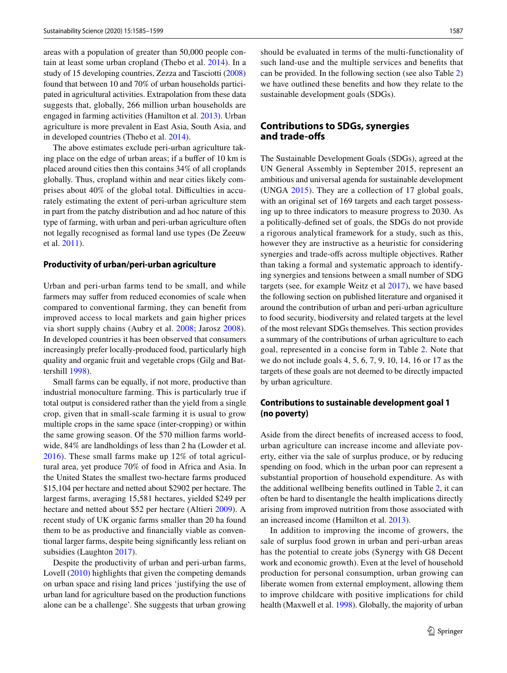areas with a population of greater than 50,000 people contain at least some urban cropland (Thebo et al. [2014\)](#page-13-5). In a study of 15 developing countries, Zezza and Tasciotti ([2008\)](#page-14-2) found that between 10 and 70% of urban households participated in agricultural activities. Extrapolation from these data suggests that, globally, 266 million urban households are engaged in farming activities (Hamilton et al. [2013\)](#page-12-3). Urban agriculture is more prevalent in East Asia, South Asia, and in developed countries (Thebo et al. [2014](#page-13-5)).

The above estimates exclude peri-urban agriculture taking place on the edge of urban areas; if a buffer of 10 km is placed around cities then this contains 34% of all croplands globally. Thus, cropland within and near cities likely comprises about 40% of the global total. Difficulties in accurately estimating the extent of peri-urban agriculture stem in part from the patchy distribution and ad hoc nature of this type of farming, with urban and peri-urban agriculture often not legally recognised as formal land use types (De Zeeuw et al. [2011](#page-12-4)).

#### **Productivity of urban/peri‑urban agriculture**

Urban and peri-urban farms tend to be small, and while farmers may suffer from reduced economies of scale when compared to conventional farming, they can benefit from improved access to local markets and gain higher prices via short supply chains (Aubry et al. [2008;](#page-11-0) Jarosz [2008](#page-12-5)). In developed countries it has been observed that consumers increasingly prefer locally-produced food, particularly high quality and organic fruit and vegetable crops (Gilg and Battershill [1998\)](#page-12-6).

Small farms can be equally, if not more, productive than industrial monoculture farming. This is particularly true if total output is considered rather than the yield from a single crop, given that in small-scale farming it is usual to grow multiple crops in the same space (inter-cropping) or within the same growing season. Of the 570 million farms worldwide, 84% are landholdings of less than 2 ha (Lowder et al. [2016\)](#page-12-7). These small farms make up 12% of total agricultural area, yet produce 70% of food in Africa and Asia. In the United States the smallest two-hectare farms produced \$15,104 per hectare and netted about \$2902 per hectare. The largest farms, averaging 15,581 hectares, yielded \$249 per hectare and netted about \$52 per hectare (Altieri [2009](#page-11-1)). A recent study of UK organic farms smaller than 20 ha found them to be as productive and financially viable as conventional larger farms, despite being significantly less reliant on subsidies (Laughton [2017](#page-12-8)).

Despite the productivity of urban and peri-urban farms, Lovell ([2010\)](#page-12-2) highlights that given the competing demands on urban space and rising land prices 'justifying the use of urban land for agriculture based on the production functions alone can be a challenge'. She suggests that urban growing should be evaluated in terms of the multi-functionality of such land-use and the multiple services and benefits that can be provided. In the following section (see also Table [2\)](#page-3-0) we have outlined these benefits and how they relate to the sustainable development goals (SDGs).

#### <span id="page-2-0"></span>**Contributions to SDGs, synergies and trade‑offs**

The Sustainable Development Goals (SDGs), agreed at the UN General Assembly in September 2015, represent an ambitious and universal agenda for sustainable development (UNGA [2015\)](#page-13-6). They are a collection of 17 global goals, with an original set of 169 targets and each target possessing up to three indicators to measure progress to 2030. As a politically-defined set of goals, the SDGs do not provide a rigorous analytical framework for a study, such as this, however they are instructive as a heuristic for considering synergies and trade-offs across multiple objectives. Rather than taking a formal and systematic approach to identifying synergies and tensions between a small number of SDG targets (see, for example Weitz et al [2017](#page-14-3)), we have based the following section on published literature and organised it around the contribution of urban and peri-urban agriculture to food security, biodiversity and related targets at the level of the most relevant SDGs themselves. This section provides a summary of the contributions of urban agriculture to each goal, represented in a concise form in Table [2.](#page-3-0) Note that we do not include goals 4, 5, 6, 7, 9, 10, 14, 16 or 17 as the targets of these goals are not deemed to be directly impacted by urban agriculture.

#### **Contributions to sustainable development goal 1 (no poverty)**

Aside from the direct benefits of increased access to food, urban agriculture can increase income and alleviate poverty, either via the sale of surplus produce, or by reducing spending on food, which in the urban poor can represent a substantial proportion of household expenditure. As with the additional wellbeing benefits outlined in Table [2,](#page-3-0) it can often be hard to disentangle the health implications directly arising from improved nutrition from those associated with an increased income (Hamilton et al. [2013](#page-12-3)).

In addition to improving the income of growers, the sale of surplus food grown in urban and peri-urban areas has the potential to create jobs (Synergy with G8 Decent work and economic growth). Even at the level of household production for personal consumption, urban growing can liberate women from external employment, allowing them to improve childcare with positive implications for child health (Maxwell et al. [1998](#page-13-7)). Globally, the majority of urban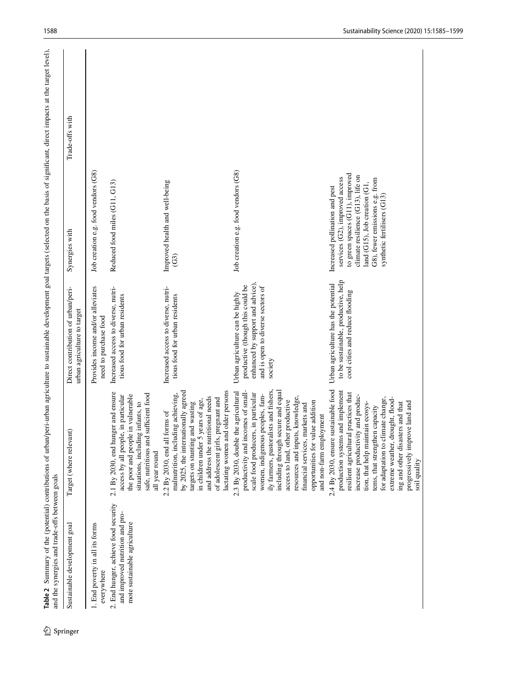| Sustainable development goal                                                                            | Target (where relevant)                                                                                                                                                                                                                                                                                                                                                                                           | Direct contribution of urban/peri-<br>urban agriculture to target                                                                                       | Synergies with                                                                                                                                                                                                                             | Trade-offs with |
|---------------------------------------------------------------------------------------------------------|-------------------------------------------------------------------------------------------------------------------------------------------------------------------------------------------------------------------------------------------------------------------------------------------------------------------------------------------------------------------------------------------------------------------|---------------------------------------------------------------------------------------------------------------------------------------------------------|--------------------------------------------------------------------------------------------------------------------------------------------------------------------------------------------------------------------------------------------|-----------------|
| 1. End poverty in all its forms<br>everywhere                                                           |                                                                                                                                                                                                                                                                                                                                                                                                                   | Provides income and/or alleviates<br>need to purchase food                                                                                              | Job creation e.g. food vendors (G8)                                                                                                                                                                                                        |                 |
| 2. End hunger, achieve food security<br>and improved nutrition and pro-<br>mote sustainable agriculture | and ensure<br>safe, nutritious and sufficient food<br>the poor and people in vulnerable<br>n particular<br>situations, including infants, to<br>2.1 By 2030, end hunger<br>access by all people, in<br>all year round                                                                                                                                                                                             | Increased access to diverse, nutri-<br>tious food for urban residents                                                                                   | Reduced food miles (G11, G13)                                                                                                                                                                                                              |                 |
|                                                                                                         | lactating women and older persons<br>by 2025, the internationally agreed<br>achieving<br>and address the nutritional needs<br>of adolescent girls, pregnant and<br>in children under 5 years of age,<br>targets on stunting and wasting<br>2.2 By 2030, end all forms of<br>malnutrition, including                                                                                                               | Increased access to diverse, nutri-<br>tious food for urban residents                                                                                   | Improved health and well-being<br>(G3)                                                                                                                                                                                                     |                 |
|                                                                                                         | including through secure and equal<br>ily farmers, pastoralists and fishers,<br>productivity and incomes of small-<br>2.3 By 2030, double the agricultural<br>scale food producers, in particular<br>women, indigenous peoples, fam-<br>resources and inputs, knowledge,<br>access to land, other productive<br>addition<br>financial services, markets and<br>and non-farm employment<br>opportunities for value | enhanced by support and advice),<br>productive (though this could be<br>and is open to diverse sectors of<br>Urban agriculture can be highly<br>society | Job creation e.g. food vendors (G8)                                                                                                                                                                                                        |                 |
|                                                                                                         | 2.4 By 2030, ensure sustainable food<br>production systems and implement<br>resilient agricultural practices that<br>increase productivity and produc-<br>for adaptation to climate change,<br>extreme weather, drought, flood-<br>land and<br>tion, that help maintain ecosys-<br>and that<br>tems, that strengthen capacity<br>ing and other disasters<br>progressively improve<br>soil quality                 | to be sustainable, productive, help<br>Urban agriculture has the potential<br>cool cities and reduce flooding                                           | to green spaces (G11), improved<br>climate resilience (G13), life on<br>services (G2), improved access<br>G8), fewer emissions e.g. from<br>land (G15), Job creation (G1,<br>Increased pollination and pest<br>synthetic fertilisers (G13) |                 |

Table 2 Summary of the (potential) contributions of urban/peri-urban agriculture to sustainable development goal targets (selected on the basis of significant, direct impacts at the target level),

<span id="page-3-0"></span> $\underline{\textcircled{\tiny 2}}$  Springer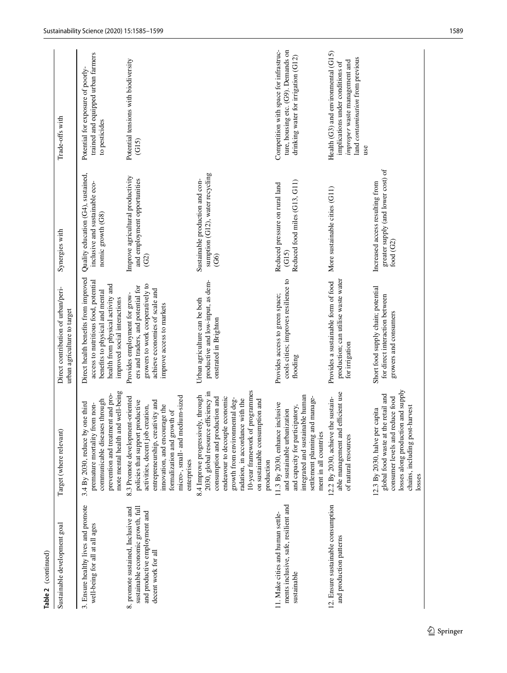| Table 2 (continued)                                                                                                              |                                                                                                                                                                                                                                                                                                        |                                                                                                                                                                                      |                                                                                               |                                                                                                                                                     |
|----------------------------------------------------------------------------------------------------------------------------------|--------------------------------------------------------------------------------------------------------------------------------------------------------------------------------------------------------------------------------------------------------------------------------------------------------|--------------------------------------------------------------------------------------------------------------------------------------------------------------------------------------|-----------------------------------------------------------------------------------------------|-----------------------------------------------------------------------------------------------------------------------------------------------------|
| Sustainable development goal                                                                                                     | Target (where relevant)                                                                                                                                                                                                                                                                                | Direct contribution of urban/peri-<br>urban agriculture to target                                                                                                                    | Synergies with                                                                                | Trade-offs with                                                                                                                                     |
| 3. Ensure healthy lives and promote<br>well-being for all at all ages                                                            | mote mental health and well-being<br>prevention and treatment and pro-<br>communicable diseases through<br>one third<br>premature mortality from non-<br>3.4 By 2030, reduce by                                                                                                                        | Direct health benefits from improved<br>access to nutritious food, potential<br>health from physical activity and<br>benefits to physical and mental<br>improved social interactions | Quality education (G4), sustained,<br>inclusive and sustainable eco-<br>nomic growth (G8)     | trained and equipped urban farmers<br>Potential for exposure of poorly-<br>to pesticides                                                            |
| 8. promote sustained, Inclusive and<br>sustainable economic growth, full<br>and productive employment and<br>decent work for all | micro-, small- and medium-sized<br>8.3 Promote development-oriented<br>policies that support productive<br>entrepreneurship, creativity and<br>innovation, and encourage the<br>activities, decent job creation,<br>formalization and growth of<br>enterprises                                         | growers to work cooperatively to<br>ers and traders, and potential for<br>achieve economies of scale and<br>Provides employment for grow-<br>improve access to markets               | Improve agricultural productivity<br>and employment opportunities<br>$\widetilde{\mathbb{G}}$ | Potential tensions with biodiversity<br>(G15)                                                                                                       |
|                                                                                                                                  | 10-year framework of programmes<br>2030, global resource efficiency in<br>8.4 Improve progressively, through<br>consumption and production and<br>endeavour to decouple economic<br>growth from environmental deg-<br>radation, in accordance with the<br>on sustainable consumption and<br>production | productive and low-input, as dem-<br>Urban agriculture can be both<br>onstrated in Brighton                                                                                          | sumption (G12), water recycling<br>Sustainable production and con-<br>(G6)                    |                                                                                                                                                     |
| ments inclusive, safe, resilient and<br>11. Make cities and human settle-<br>sustainable                                         | integrated and sustainable human<br>settlement planning and manage-<br>inclusive<br>and capacity for participatory,<br>and sustainable urbanization<br>11.3 By 2030, enhance<br>ment in all countries                                                                                                  | cools cities; improves resilience to<br>Provides access to green space;<br>flooding                                                                                                  | Reduced food miles (G13, G11)<br>Reduced pressure on rural land<br>(G15)                      | Competition with space for infrastruc-<br>ture, housing etc. (G9). Demands on<br>drinking water for irrigation (G12)                                |
| 12. Ensure sustainable consumption<br>and production patterns                                                                    | able management and efficient use<br>12.2 By 2030, achieve the sustain-<br>of natural resources                                                                                                                                                                                                        | production; can utilise waste water<br>Provides a sustainable form of food<br>for irrigation                                                                                         | More sustainable cities (G11)                                                                 | Health (G3) and environmental (G15)<br>land contamination from previous<br>improper waste management and<br>implications under conditions of<br>use |
|                                                                                                                                  | losses along production and supply<br>global food waste at the retail and<br>consumer levels and reduce food<br>chains, including post-harvest<br>12.3 By 2030, halve per capita<br>losses                                                                                                             | Short food supply chain; potential<br>for direct interaction between<br>growers and consumers                                                                                        | greater supply (and lower cost) of<br>Increased access resulting from<br>food (G2)            |                                                                                                                                                     |
|                                                                                                                                  |                                                                                                                                                                                                                                                                                                        |                                                                                                                                                                                      |                                                                                               |                                                                                                                                                     |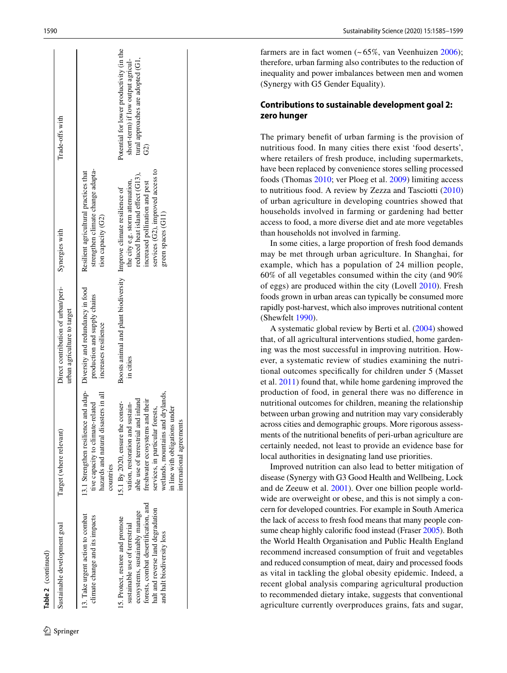| Table 2 (continued)                                                                                                                                                                                             |                                                                                                                                                                                                                                                                                                |                                                                                 |                                                                                                                                                                    |                                                                                                                           |
|-----------------------------------------------------------------------------------------------------------------------------------------------------------------------------------------------------------------|------------------------------------------------------------------------------------------------------------------------------------------------------------------------------------------------------------------------------------------------------------------------------------------------|---------------------------------------------------------------------------------|--------------------------------------------------------------------------------------------------------------------------------------------------------------------|---------------------------------------------------------------------------------------------------------------------------|
| Sustainable development goal                                                                                                                                                                                    | Target (where relevant)                                                                                                                                                                                                                                                                        | Direct contribution of urban/peri-<br>urban agriculture to target               | Synergies with                                                                                                                                                     | Trade-offs with                                                                                                           |
| 13. Take urgent action to combat<br>climate change and its impacts                                                                                                                                              | 13.1 Strengthen resilience and adap- Diversity and redundancy in food<br>hazards and natural disasters in all<br>tive capacity to climate-related<br>countries                                                                                                                                 | production and supply chains<br>increases resilience                            | strengthen climate change adapta-<br>Resilient agricultural practices that<br>tion capacity (G2)                                                                   |                                                                                                                           |
| forests, combat desertification, and<br>halt and reverse land degradation<br>ecosystems, sustainably manage<br>15. Protect, restore and promote<br>sustainable use of terrestrial<br>and halt biodiversity loss | wetlands, mountains and drylands,<br>able use of terrestrial and inland<br>freshwater ecosystems and their<br>conser-<br>vation, restoration and sustain-<br>under<br>services, in particular forests,<br>బ<br>15.1 By 2020, ensure the<br>in line with obligations<br>international agreement | Boosts animal and plant biodiversity Improve climate resilience of<br>in cities | services (G2), improved access to<br>reduced heat island effect (G13),<br>the city e.g. storm attenuation,<br>increased pollination and pest<br>green spaces (G11) | Potential for lower productivity (in the<br>tural approaches are adopted (G1,<br>short-term) if low output agricul-<br>යි |

farmers are in fact women  $(-65\%$ , van Veenhuizen [2006](#page-13-8)); therefore, urban farming also contributes to the reduction of inequality and power imbalances between men and women (Synergy with G5 Gender Equality).

#### **Contributions to sustainable development goal 2: zero hunger**

The primary benefit of urban farming is the provision of nutritious food. In many cities there exist 'food deserts', where retailers of fresh produce, including supermarkets, have been replaced by convenience stores selling processed foods (Thomas [2010](#page-13-9); ver Ploeg et al. [2009\)](#page-13-10) limiting access to nutritious food. A review by Zezza and Tasciotti ([2010](#page-14-2)) of urban agriculture in developing countries showed that households involved in farming or gardening had better access to food, a more diverse diet and ate more vegetables than households not involved in farming.

In some cities, a large proportion of fresh food demands may be met through urban agriculture. In Shanghai, for example, which has a population of 24 million people, 60% of all vegetables consumed within the city (and 90% of eggs) are produced within the city (Lovell [2010\)](#page-12-2). Fresh foods grown in urban areas can typically be consumed more rapidly post-harvest, which also improves nutritional content (Shewfelt [1990\)](#page-13-11).

A systematic global review by Berti et al. [\(2004](#page-11-2)) showed that, of all agricultural interventions studied, home garden ing was the most successful in improving nutrition. How ever, a systematic review of studies examining the nutri tional outcomes specifically for children under 5 (Masset et al. [2011](#page-12-9)) found that, while home gardening improved the production of food, in general there was no difference in nutritional outcomes for children, meaning the relationship between urban growing and nutrition may vary considerably across cities and demographic groups. More rigorous assess ments of the nutritional benefits of peri-urban agriculture are certainly needed, not least to provide an evidence base for local authorities in designating land use priorities.

Improved nutrition can also lead to better mitigation of disease (Synergy with G3 Good Health and Wellbeing, Lock and de Zeeuw et al. [2001](#page-12-10)). Over one billion people worldwide are overweight or obese, and this is not simply a concern for developed countries. For example in South America the lack of access to fresh food means that many people con sume cheap highly calorific food instead (Fraser [2005\)](#page-12-11). Both the World Health Organisation and Public Health England recommend increased consumption of fruit and vegetables and reduced consumption of meat, dairy and processed foods as vital in tackling the global obesity epidemic. Indeed, a recent global analysis comparing agricultural production to recommended dietary intake, suggests that conventional agriculture currently overproduces grains, fats and sugar,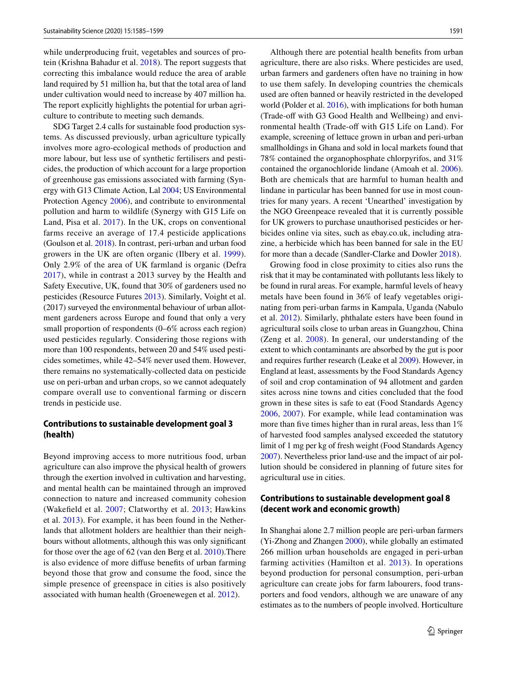while underproducing fruit, vegetables and sources of protein (Krishna Bahadur et al. [2018\)](#page-12-12). The report suggests that correcting this imbalance would reduce the area of arable land required by 51 million ha, but that the total area of land under cultivation would need to increase by 407 million ha. The report explicitly highlights the potential for urban agriculture to contribute to meeting such demands.

SDG Target 2.4 calls for sustainable food production systems. As discussed previously, urban agriculture typically involves more agro-ecological methods of production and more labour, but less use of synthetic fertilisers and pesticides, the production of which account for a large proportion of greenhouse gas emissions associated with farming (Synergy with G13 Climate Action, Lal [2004](#page-12-13); US Environmental Protection Agency [2006\)](#page-13-12), and contribute to environmental pollution and harm to wildlife (Synergy with G15 Life on Land, Pisa et al. [2017\)](#page-13-13). In the UK, crops on conventional farms receive an average of 17.4 pesticide applications (Goulson et al. [2018](#page-12-14)). In contrast, peri-urban and urban food growers in the UK are often organic (Ilbery et al. [1999](#page-12-15)). Only 2.9% of the area of UK farmland is organic (Defra [2017\)](#page-11-3), while in contrast a 2013 survey by the Health and Safety Executive, UK, found that 30% of gardeners used no pesticides (Resource Futures [2013\)](#page-13-14). Similarly, Voight et al. (2017) surveyed the environmental behaviour of urban allotment gardeners across Europe and found that only a very small proportion of respondents (0–6% across each region) used pesticides regularly. Considering those regions with more than 100 respondents, between 20 and 54% used pesticides sometimes, while 42–54% never used them. However, there remains no systematically-collected data on pesticide use on peri-urban and urban crops, so we cannot adequately compare overall use to conventional farming or discern trends in pesticide use.

#### **Contributions to sustainable development goal 3 (health)**

Beyond improving access to more nutritious food, urban agriculture can also improve the physical health of growers through the exertion involved in cultivation and harvesting, and mental health can be maintained through an improved connection to nature and increased community cohesion (Wakefield et al. [2007;](#page-14-4) Clatworthy et al. [2013](#page-11-4); Hawkins et al. [2013](#page-12-16)). For example, it has been found in the Netherlands that allotment holders are healthier than their neighbours without allotments, although this was only significant for those over the age of 62 (van den Berg et al. [2010\)](#page-13-15).There is also evidence of more diffuse benefits of urban farming beyond those that grow and consume the food, since the simple presence of greenspace in cities is also positively associated with human health (Groenewegen et al. [2012](#page-12-17)).

Although there are potential health benefits from urban agriculture, there are also risks. Where pesticides are used, urban farmers and gardeners often have no training in how to use them safely. In developing countries the chemicals used are often banned or heavily restricted in the developed world (Polder et al. [2016](#page-13-16)), with implications for both human (Trade-off with G3 Good Health and Wellbeing) and environmental health (Trade-off with G15 Life on Land). For example, screening of lettuce grown in urban and peri-urban smallholdings in Ghana and sold in local markets found that 78% contained the organophosphate chlorpyrifos, and 31% contained the organochloride lindane (Amoah et al. [2006](#page-11-5)). Both are chemicals that are harmful to human health and lindane in particular has been banned for use in most countries for many years. A recent 'Unearthed' investigation by the NGO Greenpeace revealed that it is currently possible for UK growers to purchase unauthorised pesticides or herbicides online via sites, such as ebay.co.uk, including atrazine, a herbicide which has been banned for sale in the EU for more than a decade (Sandler-Clarke and Dowler [2018](#page-13-17)).

Growing food in close proximity to cities also runs the risk that it may be contaminated with pollutants less likely to be found in rural areas. For example, harmful levels of heavy metals have been found in 36% of leafy vegetables originating from peri-urban farms in Kampala, Uganda (Nabulo et al. [2012](#page-13-18)). Similarly, phthalate esters have been found in agricultural soils close to urban areas in Guangzhou, China (Zeng et al. [2008](#page-14-5)). In general, our understanding of the extent to which contaminants are absorbed by the gut is poor and requires further research (Leake et al [2009\)](#page-12-18). However, in England at least, assessments by the Food Standards Agency of soil and crop contamination of 94 allotment and garden sites across nine towns and cities concluded that the food grown in these sites is safe to eat (Food Standards Agency [2006,](#page-12-19) [2007](#page-12-20)). For example, while lead contamination was more than five times higher than in rural areas, less than 1% of harvested food samples analysed exceeded the statutory limit of 1 mg per kg of fresh weight (Food Standards Agency [2007](#page-12-20)). Nevertheless prior land-use and the impact of air pollution should be considered in planning of future sites for agricultural use in cities.

#### **Contributions to sustainable development goal 8 (decent work and economic growth)**

In Shanghai alone 2.7 million people are peri-urban farmers (Yi-Zhong and Zhangen [2000\)](#page-14-6), while globally an estimated 266 million urban households are engaged in peri-urban farming activities (Hamilton et al. [2013](#page-12-3)). In operations beyond production for personal consumption, peri-urban agriculture can create jobs for farm labourers, food transporters and food vendors, although we are unaware of any estimates as to the numbers of people involved. Horticulture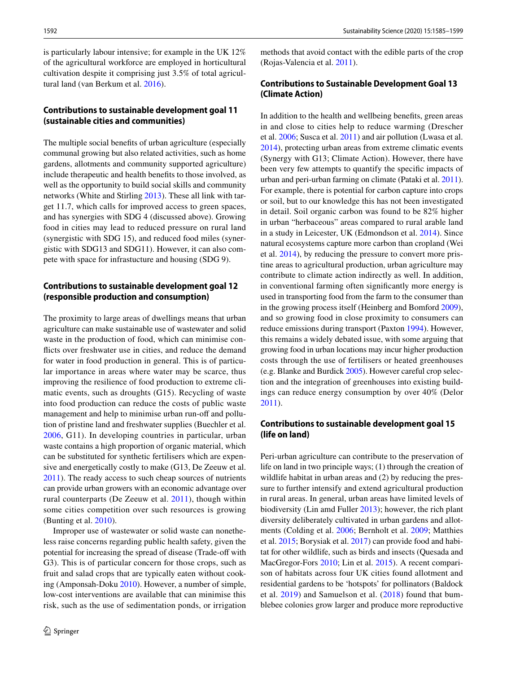is particularly labour intensive; for example in the UK 12% of the agricultural workforce are employed in horticultural cultivation despite it comprising just 3.5% of total agricultural land (van Berkum et al. [2016](#page-13-19)).

## **Contributions to sustainable development goal 11 (sustainable cities and communities)**

The multiple social benefits of urban agriculture (especially communal growing but also related activities, such as home gardens, allotments and community supported agriculture) include therapeutic and health benefits to those involved, as well as the opportunity to build social skills and community networks (White and Stirling [2013\)](#page-14-1). These all link with target 11.7, which calls for improved access to green spaces, and has synergies with SDG 4 (discussed above). Growing food in cities may lead to reduced pressure on rural land (synergistic with SDG 15), and reduced food miles (synergistic with SDG13 and SDG11). However, it can also compete with space for infrastucture and housing (SDG 9).

#### **Contributions to sustainable development goal 12 (responsible production and consumption)**

The proximity to large areas of dwellings means that urban agriculture can make sustainable use of wastewater and solid waste in the production of food, which can minimise conflicts over freshwater use in cities, and reduce the demand for water in food production in general. This is of particular importance in areas where water may be scarce, thus improving the resilience of food production to extreme climatic events, such as droughts (G15). Recycling of waste into food production can reduce the costs of public waste management and help to minimise urban run-off and pollution of pristine land and freshwater supplies (Buechler et al. [2006,](#page-11-6) G11). In developing countries in particular, urban waste contains a high proportion of organic material, which can be substituted for synthetic fertilisers which are expensive and energetically costly to make (G13, De Zeeuw et al. [2011](#page-12-4)). The ready access to such cheap sources of nutrients can provide urban growers with an economic advantage over rural counterparts (De Zeeuw et al. [2011\)](#page-12-4), though within some cities competition over such resources is growing (Bunting et al. [2010\)](#page-11-7).

Improper use of wastewater or solid waste can nonetheless raise concerns regarding public health safety, given the potential for increasing the spread of disease (Trade-off with G3). This is of particular concern for those crops, such as fruit and salad crops that are typically eaten without cooking (Amponsah-Doku [2010](#page-11-8)). However, a number of simple, low-cost interventions are available that can minimise this risk, such as the use of sedimentation ponds, or irrigation methods that avoid contact with the edible parts of the crop (Rojas-Valencia et al. [2011\)](#page-13-20).

## **Contributions to Sustainable Development Goal 13 (Climate Action)**

In addition to the health and wellbeing benefits, green areas in and close to cities help to reduce warming (Drescher et al. [2006;](#page-12-21) Susca et al. [2011\)](#page-13-21) and air pollution (Lwasa et al. [2014](#page-12-22)), protecting urban areas from extreme climatic events (Synergy with G13; Climate Action). However, there have been very few attempts to quantify the specific impacts of urban and peri-urban farming on climate (Pataki et al. [2011](#page-13-22)). For example, there is potential for carbon capture into crops or soil, but to our knowledge this has not been investigated in detail. Soil organic carbon was found to be 82% higher in urban "herbaceous" areas compared to rural arable land in a study in Leicester, UK (Edmondson et al. [2014](#page-12-23)). Since natural ecosystems capture more carbon than cropland (Wei et al. [2014\)](#page-14-7), by reducing the pressure to convert more pristine areas to agricultural production, urban agriculture may contribute to climate action indirectly as well. In addition, in conventional farming often significantly more energy is used in transporting food from the farm to the consumer than in the growing process itself (Heinberg and Bomford [2009](#page-12-24)), and so growing food in close proximity to consumers can reduce emissions during transport (Paxton [1994\)](#page-13-23). However, this remains a widely debated issue, with some arguing that growing food in urban locations may incur higher production costs through the use of fertilisers or heated greenhouses (e.g. Blanke and Burdick [2005](#page-11-9)). However careful crop selection and the integration of greenhouses into existing buildings can reduce energy consumption by over 40% (Delor [2011](#page-12-25)).

#### **Contributions to sustainable development goal 15 (life on land)**

Peri-urban agriculture can contribute to the preservation of life on land in two principle ways; (1) through the creation of wildlife habitat in urban areas and (2) by reducing the pressure to further intensify and extend agricultural production in rural areas. In general, urban areas have limited levels of biodiversity (Lin amd Fuller [2013](#page-12-26)); however, the rich plant diversity deliberately cultivated in urban gardens and allotments (Colding et al. [2006](#page-11-10); Bernholt et al. [2009](#page-11-11); Matthies et al. [2015;](#page-12-27) Borysiak et al. [2017](#page-11-12)) can provide food and habitat for other wildlife, such as birds and insects (Quesada and MacGregor-Fors [2010;](#page-13-24) Lin et al. [2015\)](#page-12-28). A recent comparison of habitats across four UK cities found allotment and residential gardens to be 'hotspots' for pollinators (Baldock et al. [2019](#page-11-13)) and Samuelson et al. [\(2018\)](#page-13-25) found that bumblebee colonies grow larger and produce more reproductive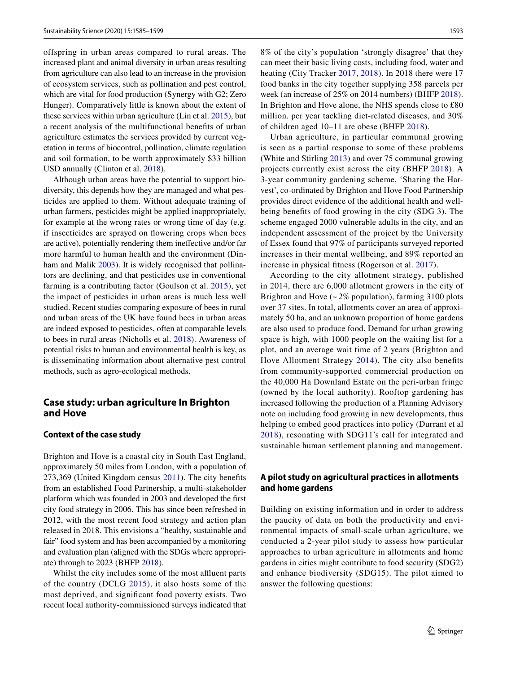offspring in urban areas compared to rural areas. The increased plant and animal diversity in urban areas resulting from agriculture can also lead to an increase in the provision of ecosystem services, such as pollination and pest control, which are vital for food production (Synergy with G2; Zero Hunger). Comparatively little is known about the extent of these services within urban agriculture (Lin et al. [2015](#page-12-12)), but a recent analysis of the multifunctional benefits of urban agriculture estimates the services provided by current vegetation in terms of biocontrol, pollination, climate regulation and soil formation, to be worth approximately \$33 billion USD annually (Clinton et al. [2018\)](#page-11-14).

Although urban areas have the potential to support biodiversity, this depends how they are managed and what pesticides are applied to them. Without adequate training of urban farmers, pesticides might be applied inappropriately, for example at the wrong rates or wrong time of day (e.g. if insecticides are sprayed on flowering crops when bees are active), potentially rendering them ineffective and/or far more harmful to human health and the environment (Din-ham and Malik [2003\)](#page-12-29). It is widely recognised that pollinators are declining, and that pesticides use in conventional farming is a contributing factor (Goulson et al. [2015](#page-12-30)), yet the impact of pesticides in urban areas is much less well studied. Recent studies comparing exposure of bees in rural and urban areas of the UK have found bees in urban areas are indeed exposed to pesticides, often at comparable levels to bees in rural areas (Nicholls et al. [2018\)](#page-13-26). Awareness of potential risks to human and environmental health is key, as is disseminating information about alternative pest control methods, such as agro-ecological methods.

## <span id="page-8-0"></span>**Case study: urban agriculture In Brighton and Hove**

#### **Context of the case study**

Brighton and Hove is a coastal city in South East England, approximately 50 miles from London, with a population of 273,369 (United Kingdom census [2011](#page-13-27)). The city benefits from an established Food Partnership, a multi-stakeholder platform which was founded in 2003 and developed the first city food strategy in 2006. This has since been refreshed in 2012, with the most recent food strategy and action plan released in 2018. This envisions a "healthy, sustainable and fair" food system and has been accompanied by a monitoring and evaluation plan (aligned with the SDGs where appropriate) through to 2023 (BHFP [2018\)](#page-11-15).

Whilst the city includes some of the most affluent parts of the country (DCLG [2015\)](#page-11-16), it also hosts some of the most deprived, and significant food poverty exists. Two recent local authority-commissioned surveys indicated that 8% of the city's population 'strongly disagree' that they can meet their basic living costs, including food, water and heating (City Tracker [2017,](#page-11-17) [2018\)](#page-11-18). In 2018 there were 17 food banks in the city together supplying 358 parcels per week (an increase of 25% on 2014 numbers) (BHFP [2018](#page-11-15)). In Brighton and Hove alone, the NHS spends close to £80 million. per year tackling diet-related diseases, and 30% of children aged 10–11 are obese (BHFP [2018\)](#page-11-15).

Urban agriculture, in particular communal growing is seen as a partial response to some of these problems (White and Stirling [2013](#page-14-1)) and over 75 communal growing projects currently exist across the city (BHFP [2018\)](#page-11-15). A 3-year community gardening scheme, 'Sharing the Harvest', co-ordinated by Brighton and Hove Food Partnership provides direct evidence of the additional health and wellbeing benefits of food growing in the city (SDG 3). The scheme engaged 2000 vulnerable adults in the city, and an independent assessment of the project by the University of Essex found that 97% of participants surveyed reported increases in their mental wellbeing, and 89% reported an increase in physical fitness (Rogerson et al. [2017](#page-13-28)).

According to the city allotment strategy, published in 2014, there are 6,000 allotment growers in the city of Brighton and Hove (~ 2% population), farming 3100 plots over 37 sites. In total, allotments cover an area of approximately 50 ha, and an unknown proportion of home gardens are also used to produce food. Demand for urban growing space is high, with 1000 people on the waiting list for a plot, and an average wait time of 2 years (Brighton and Hove Allotment Strategy [2014](#page-11-19)). The city also benefits from community-supported commercial production on the 40,000 Ha Downland Estate on the peri-urban fringe (owned by the local authority). Rooftop gardening has increased following the production of a Planning Advisory note on including food growing in new developments, thus helping to embed good practices into policy (Durrant et al [2018](#page-12-31)), resonating with SDG11′s call for integrated and sustainable human settlement planning and management.

#### **A pilot study on agricultural practices in allotments and home gardens**

Building on existing information and in order to address the paucity of data on both the productivity and environmental impacts of small-scale urban agriculture, we conducted a 2-year pilot study to assess how particular approaches to urban agriculture in allotments and home gardens in cities might contribute to food security (SDG2) and enhance biodiversity (SDG15). The pilot aimed to answer the following questions: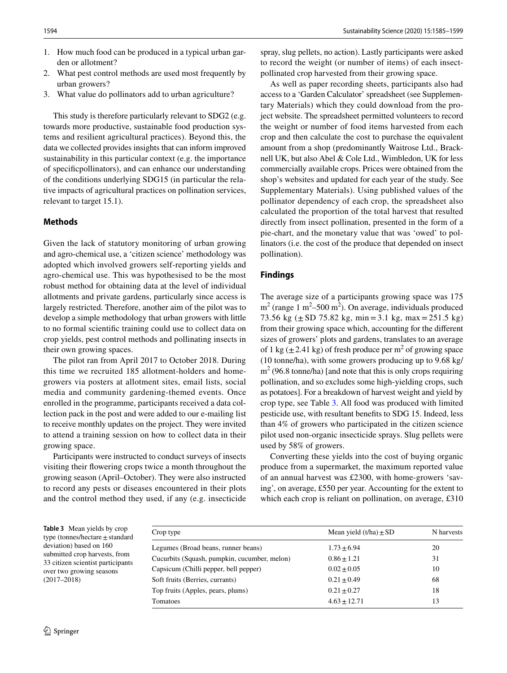- 1. How much food can be produced in a typical urban garden or allotment?
- 2. What pest control methods are used most frequently by urban growers?
- 3. What value do pollinators add to urban agriculture?

This study is therefore particularly relevant to SDG2 (e.g. towards more productive, sustainable food production systems and resilient agricultural practices). Beyond this, the data we collected provides insights that can inform improved sustainability in this particular context (e.g. the importance of specificpollinators), and can enhance our understanding of the conditions underlying SDG15 (in particular the relative impacts of agricultural practices on pollination services, relevant to target 15.1).

#### **Methods**

Given the lack of statutory monitoring of urban growing and agro-chemical use, a 'citizen science' methodology was adopted which involved growers self-reporting yields and agro-chemical use. This was hypothesised to be the most robust method for obtaining data at the level of individual allotments and private gardens, particularly since access is largely restricted. Therefore, another aim of the pilot was to develop a simple methodology that urban growers with little to no formal scientific training could use to collect data on crop yields, pest control methods and pollinating insects in their own growing spaces.

The pilot ran from April 2017 to October 2018. During this time we recruited 185 allotment-holders and homegrowers via posters at allotment sites, email lists, social media and community gardening-themed events. Once enrolled in the programme, participants received a data collection pack in the post and were added to our e-mailing list to receive monthly updates on the project. They were invited to attend a training session on how to collect data in their growing space.

Participants were instructed to conduct surveys of insects visiting their flowering crops twice a month throughout the growing season (April–October). They were also instructed to record any pests or diseases encountered in their plots and the control method they used, if any (e.g. insecticide spray, slug pellets, no action). Lastly participants were asked to record the weight (or number of items) of each insectpollinated crop harvested from their growing space.

As well as paper recording sheets, participants also had access to a 'Garden Calculator' spreadsheet (see Supplementary Materials) which they could download from the project website. The spreadsheet permitted volunteers to record the weight or number of food items harvested from each crop and then calculate the cost to purchase the equivalent amount from a shop (predominantly Waitrose Ltd., Bracknell UK, but also Abel & Cole Ltd., Wimbledon, UK for less commercially available crops. Prices were obtained from the shop's websites and updated for each year of the study. See Supplementary Materials). Using published values of the pollinator dependency of each crop, the spreadsheet also calculated the proportion of the total harvest that resulted directly from insect pollination, presented in the form of a pie-chart, and the monetary value that was 'owed' to pollinators (i.e. the cost of the produce that depended on insect pollination).

#### **Findings**

The average size of a participants growing space was 175  $m<sup>2</sup>$  (range 1 m<sup>2</sup>–500 m<sup>2</sup>). On average, individuals produced 73.56 kg  $(\pm SD 75.82 \text{ kg}, \text{min} = 3.1 \text{ kg}, \text{max} = 251.5 \text{ kg})$ from their growing space which, accounting for the different sizes of growers' plots and gardens, translates to an average of 1 kg  $(\pm 2.41 \text{ kg})$  of fresh produce per m<sup>2</sup> of growing space (10 tonne/ha), with some growers producing up to 9.68 kg/  $m<sup>2</sup>$  (96.8 tonne/ha) [and note that this is only crops requiring pollination, and so excludes some high-yielding crops, such as potatoes]. For a breakdown of harvest weight and yield by crop type, see Table [3](#page-9-0). All food was produced with limited pesticide use, with resultant benefits to SDG 15. Indeed, less than 4% of growers who participated in the citizen science pilot used non-organic insecticide sprays. Slug pellets were used by 58% of growers.

Converting these yields into the cost of buying organic produce from a supermarket, the maximum reported value of an annual harvest was £2300, with home-growers 'saving', on average, £550 per year. Accounting for the extent to which each crop is reliant on pollination, on average, £310

<span id="page-9-0"></span>**Table 3** Mean yields by crop type (tonnes/hectare ± standard deviation) based on 160 submitted crop harvests, from 33 citizen scientist participants over two growing seasons (2017–2018)

| Crop type                                    | Mean yield $(t/ha) \pm SD$ | N harvests |
|----------------------------------------------|----------------------------|------------|
| Legumes (Broad beans, runner beans)          | $1.73 \pm 6.94$            | 20         |
| Cucurbits (Squash, pumpkin, cucumber, melon) | $0.86 + 1.21$              | 31         |
| Capsicum (Chilli pepper, bell pepper)        | $0.02 \pm 0.05$            | 10         |
| Soft fruits (Berries, currants)              | $0.21 + 0.49$              | 68         |
| Top fruits (Apples, pears, plums)            | $0.21 + 0.27$              | 18         |
| Tomatoes                                     | $4.63 \pm 12.71$           | 13         |
|                                              |                            |            |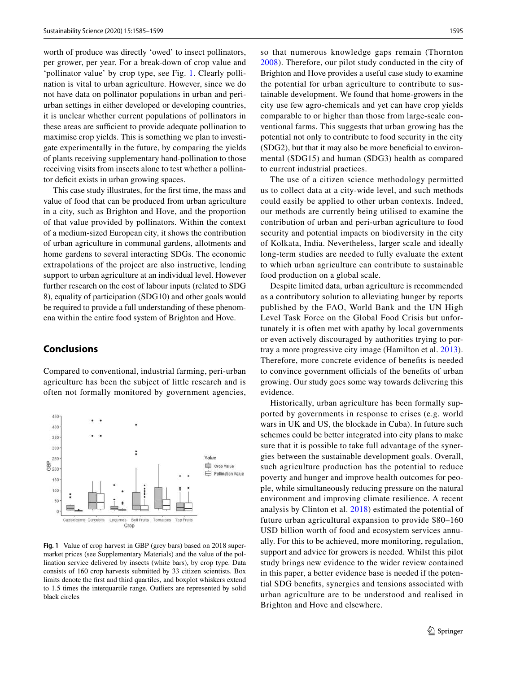worth of produce was directly 'owed' to insect pollinators, per grower, per year. For a break-down of crop value and 'pollinator value' by crop type, see Fig. [1](#page-10-0). Clearly pollination is vital to urban agriculture. However, since we do not have data on pollinator populations in urban and periurban settings in either developed or developing countries, it is unclear whether current populations of pollinators in these areas are sufficient to provide adequate pollination to maximise crop yields. This is something we plan to investigate experimentally in the future, by comparing the yields of plants receiving supplementary hand-pollination to those receiving visits from insects alone to test whether a pollinator deficit exists in urban growing spaces.

This case study illustrates, for the first time, the mass and value of food that can be produced from urban agriculture in a city, such as Brighton and Hove, and the proportion of that value provided by pollinators. Within the context of a medium-sized European city, it shows the contribution of urban agriculture in communal gardens, allotments and home gardens to several interacting SDGs. The economic extrapolations of the project are also instructive, lending support to urban agriculture at an individual level. However further research on the cost of labour inputs (related to SDG 8), equality of participation (SDG10) and other goals would be required to provide a full understanding of these phenomena within the entire food system of Brighton and Hove.

#### **Conclusions**

Compared to conventional, industrial farming, peri-urban agriculture has been the subject of little research and is often not formally monitored by government agencies,



<span id="page-10-0"></span>**Fig. 1** Value of crop harvest in GBP (grey bars) based on 2018 supermarket prices (see Supplementary Materials) and the value of the pollination service delivered by insects (white bars), by crop type. Data consists of 160 crop harvests submitted by 33 citizen scientists. Box limits denote the first and third quartiles, and boxplot whiskers extend to 1.5 times the interquartile range. Outliers are represented by solid black circles

so that numerous knowledge gaps remain (Thornton [2008\)](#page-13-3). Therefore, our pilot study conducted in the city of Brighton and Hove provides a useful case study to examine the potential for urban agriculture to contribute to sustainable development. We found that home-growers in the city use few agro-chemicals and yet can have crop yields comparable to or higher than those from large-scale conventional farms. This suggests that urban growing has the potential not only to contribute to food security in the city (SDG2), but that it may also be more beneficial to environmental (SDG15) and human (SDG3) health as compared to current industrial practices.

The use of a citizen science methodology permitted us to collect data at a city-wide level, and such methods could easily be applied to other urban contexts. Indeed, our methods are currently being utilised to examine the contribution of urban and peri-urban agriculture to food security and potential impacts on biodiversity in the city of Kolkata, India. Nevertheless, larger scale and ideally long-term studies are needed to fully evaluate the extent to which urban agriculture can contribute to sustainable food production on a global scale.

Despite limited data, urban agriculture is recommended as a contributory solution to alleviating hunger by reports published by the FAO, World Bank and the UN High Level Task Force on the Global Food Crisis but unfortunately it is often met with apathy by local governments or even actively discouraged by authorities trying to portray a more progressive city image (Hamilton et al. [2013](#page-12-3)). Therefore, more concrete evidence of benefits is needed to convince government officials of the benefits of urban growing. Our study goes some way towards delivering this evidence.

Historically, urban agriculture has been formally supported by governments in response to crises (e.g. world wars in UK and US, the blockade in Cuba). In future such schemes could be better integrated into city plans to make sure that it is possible to take full advantage of the synergies between the sustainable development goals. Overall, such agriculture production has the potential to reduce poverty and hunger and improve health outcomes for people, while simultaneously reducing pressure on the natural environment and improving climate resilience. A recent analysis by Clinton et al. [2018](#page-11-14)) estimated the potential of future urban agricultural expansion to provide \$80–160 USD billion worth of food and ecosystem services annually. For this to be achieved, more monitoring, regulation, support and advice for growers is needed. Whilst this pilot study brings new evidence to the wider review contained in this paper, a better evidence base is needed if the potential SDG benefits, synergies and tensions associated with urban agriculture are to be understood and realised in Brighton and Hove and elsewhere.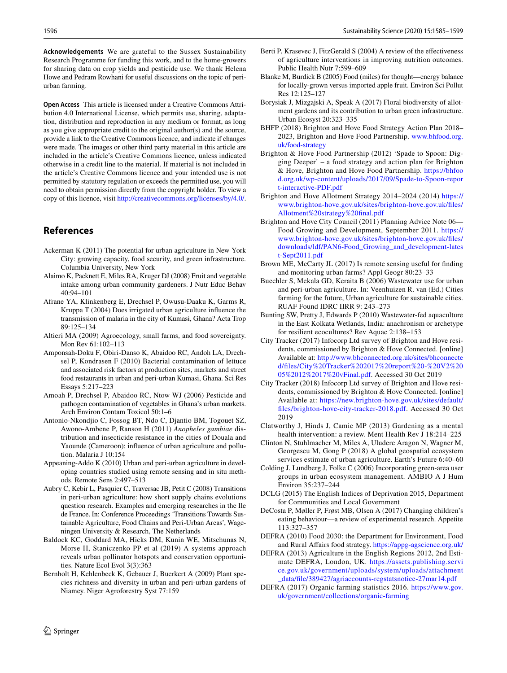**Acknowledgements** We are grateful to the Sussex Sustainability Research Programme for funding this work, and to the home-growers for sharing data on crop yields and pesticide use. We thank Helena Howe and Pedram Rowhani for useful discussions on the topic of periurban farming.

**Open Access** This article is licensed under a Creative Commons Attribution 4.0 International License, which permits use, sharing, adaptation, distribution and reproduction in any medium or format, as long as you give appropriate credit to the original author(s) and the source, provide a link to the Creative Commons licence, and indicate if changes were made. The images or other third party material in this article are included in the article's Creative Commons licence, unless indicated otherwise in a credit line to the material. If material is not included in the article's Creative Commons licence and your intended use is not permitted by statutory regulation or exceeds the permitted use, you will need to obtain permission directly from the copyright holder. To view a copy of this licence, visit http://creativecommons.org/licenses/by/4.0/.

# **References**

- Ackerman K (2011) The potential for urban agriculture in New York City: growing capacity, food security, and green infrastructure. Columbia University, New York
- Alaimo K, Packnett E, Miles RA, Kruger DJ (2008) Fruit and vegetable intake among urban community gardeners. J Nutr Educ Behav 40:94–101
- Afrane YA, Klinkenberg E, Drechsel P, Owusu-Daaku K, Garms R, Kruppa T (2004) Does irrigated urban agriculture influence the transmission of malaria in the city of Kumasi, Ghana? Acta Trop 89:125–134
- <span id="page-11-1"></span>Altieri MA (2009) Agroecology, small farms, and food sovereignty. Mon Rev 61:102–113
- <span id="page-11-8"></span>Amponsah-Doku F, Obiri-Danso K, Abaidoo RC, Andoh LA, Drechsel P, Kondrasen F (2010) Bacterial contamination of lettuce and associated risk factors at production sites, markets and street food restaurants in urban and peri-urban Kumasi, Ghana. Sci Res Essays 5:217–223
- <span id="page-11-5"></span>Amoah P, Drechsel P, Abaidoo RC, Ntow WJ (2006) Pesticide and pathogen contamination of vegetables in Ghana's urban markets. Arch Environ Contam Toxicol 50:1–6
- Antonio-Nkondjio C, Fossog BT, Ndo C, Djantio BM, Togouet SZ, Awono-Ambene P, Ranson H (2011) *Anopheles gambiae* distribution and insecticide resistance in the cities of Douala and Yaounde (Cameroon): influence of urban agriculture and pollution. Malaria J 10:154
- Appeaning-Addo K (2010) Urban and peri-urban agriculture in developing countries studied using remote sensing and in situ methods. Remote Sens 2:497–513
- <span id="page-11-0"></span>Aubry C, Kebir L, Pasquier C, Traversac JB, Petit C (2008) Transitions in peri-urban agriculture: how short supply chains evolutions question research. Examples and emerging researches in the Ile de France. In: Conference Proceedings 'Transitions Towards Sustainable Agriculture, Food Chains and Peri-Urban Areas', Wageningen University & Research, The Netherlands
- <span id="page-11-13"></span>Baldock KC, Goddard MA, Hicks DM, Kunin WE, Mitschunas N, Morse H, Staniczenko PP et al (2019) A systems approach reveals urban pollinator hotspots and conservation opportunities. Nature Ecol Evol 3(3):363
- <span id="page-11-11"></span>Bernholt H, Kehlenbeck K, Gebauer J, Buerkert A (2009) Plant species richness and diversity in urban and peri-urban gardens of Niamey. Niger Agroforestry Syst 77:159
- <span id="page-11-2"></span>Berti P, Krasevec J, FitzGerald S (2004) A review of the effectiveness of agriculture interventions in improving nutrition outcomes. Public Health Nutr 7:599–609
- <span id="page-11-9"></span>Blanke M, Burdick B (2005) Food (miles) for thought—energy balance for locally-grown versus imported apple fruit. Environ Sci Pollut Res 12:125–127
- <span id="page-11-12"></span>Borysiak J, Mizgajski A, Speak A (2017) Floral biodiversity of allotment gardens and its contribution to urban green infrastructure. Urban Ecosyst 20:323–335
- <span id="page-11-15"></span>BHFP (2018) Brighton and Hove Food Strategy Action Plan 2018– 2023, Brighton and Hove Food Partnership. www.bhfood.org. uk/food-strategy
- Brighton & Hove Food Partnership (2012) 'Spade to Spoon: Digging Deeper' – a food strategy and action plan for Brighton & Hove, Brighton and Hove Food Partnership. [https ://bhfoo](https://bhfood.org.uk/wp-content/uploads/2017/09/Spade-to-Spoon-report-interactive-PDF.pdf) d.org.uk/wp-content/uploads/2017/09/Spade-to-Spoon-repor t-interactive-PDF.pdf
- <span id="page-11-19"></span>Brighton and Hove Allotment Strategy 2014-2024 (2014) https:// www.brighton-hove.gov.uk/sites/brighton-hove.gov.uk/files/ Allotment%20strategy%20final.pdf
- Brighton and Hove City Council (2011) Planning Advice Note 06— Food Growing and Development, September 2011. https:// www.brighton-hove.gov.uk/sites/brighton-hove.gov.uk/files/ downloads/ldf/PAN6-Food\_Growing\_and\_development-lates t-Sept2011.pdf
- Brown ME, McCarty JL (2017) Is remote sensing useful for finding and monitoring urban farms? Appl Geogr 80:23–33
- <span id="page-11-6"></span>Buechler S, Mekala GD, Keraita B (2006) Wastewater use for urban and peri-urban agriculture. In: Veenhuizen R. van (Ed.) Cities farming for the future, Urban agriculture for sustainable cities. RUAF Found IDRC IIRR 9: 243–273
- <span id="page-11-7"></span>Bunting SW, Pretty J, Edwards P (2010) Wastewater-fed aquaculture in the East Kolkata Wetlands, India: anachronism or archetype for resilient ecocultures? Rev Aquac 2:138–153
- <span id="page-11-17"></span>City Tracker (2017) Infocorp Ltd survey of Brighton and Hove residents, commissioned by Brighton & Hove Connected. [online] Available at: http://www.bhconnected.org.uk/sites/bhconnecte [d/files /City%20Tra cker%20201 7%20rep ort%20-%20V2%20](http://www.bhconnected.org.uk/sites/bhconnected/files/City%20Tracker%202017%20report%20-%20V2%2005%2012%2017%20vFinal.pdf) 05%2012%2017%20vFinal.pdf. Accessed 30 Oct 2019
- <span id="page-11-18"></span>City Tracker (2018) Infocorp Ltd survey of Brighton and Hove residents, commissioned by Brighton & Hove Connected. [online] Available at: https://new.brighton-hove.gov.uk/sites/default/ files/brighton-hove-city-tracker-2018.pdf. Accessed 30 Oct 2019
- <span id="page-11-4"></span>Clatworthy J, Hinds J, Camic MP (2013) Gardening as a mental health intervention: a review. Ment Health Rev J 18:214–225
- <span id="page-11-14"></span>Clinton N, Stuhlmacher M, Miles A, Uludere Aragon N, Wagner M, Georgescu M, Gong P (2018) A global geospatial ecosystem services estimate of urban agriculture. Earth's Future 6:40–60
- <span id="page-11-10"></span>Colding J, Lundberg J, Folke C (2006) Incorporating green-area user groups in urban ecosystem management. AMBIO A J Hum Environ 35:237–244
- <span id="page-11-16"></span>DCLG (2015) The English Indices of Deprivation 2015, Department for Communities and Local Government
- DeCosta P, Møller P, Frøst MB, Olsen A (2017) Changing children's eating behaviour—a review of experimental research. Appetite 113:327–357
- DEFRA (2010) Food 2030: the Department for Environment, Food and Rural Affairs food strategy. https://appg-agscience.org.uk/
- DEFRA (2013) Agriculture in the English Regions 2012, 2nd Estimate DEFRA, London, UK. https://assets.publishing.servi ce.gov.uk/government/uploads/system/uploads/attachment [\\_data/file/38942 7/agria ccoun ts-regst atsno tice-27mar 14.pdf](https://assets.publishing.service.gov.uk/government/uploads/system/uploads/attachment_data/file/389427/agriaccounts-regstatsnotice-27mar14.pdf)
- <span id="page-11-3"></span>DEFRA (2017) Organic farming statistics 2016. https://www.gov. uk/government/collections/organic-farming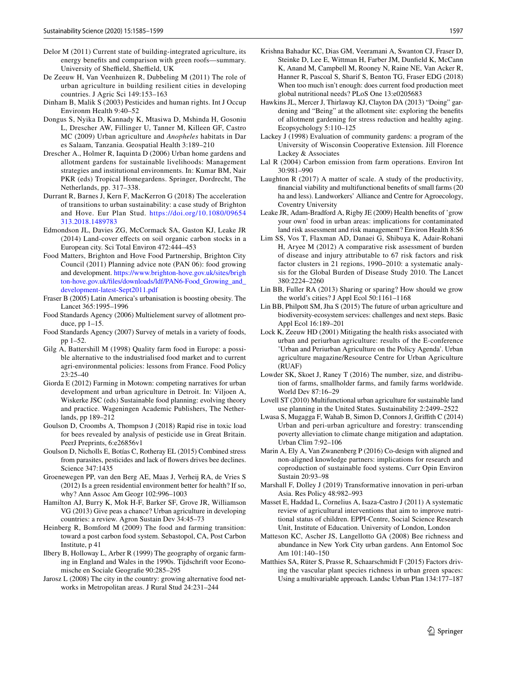- <span id="page-12-25"></span>Delor M (2011) Current state of building-integrated agriculture, its energy benefits and comparison with green roofs—summary. University of Sheffield, Sheffield, UK
- <span id="page-12-4"></span>De Zeeuw H, Van Veenhuizen R, Dubbeling M (2011) The role of urban agriculture in building resilient cities in developing countries. J Agric Sci 149:153–163
- <span id="page-12-29"></span>Dinham B, Malik S (2003) Pesticides and human rights. Int J Occup Environm Health 9:40–52
- Dongus S, Nyika D, Kannady K, Mtasiwa D, Mshinda H, Gosoniu L, Drescher AW, Fillinger U, Tanner M, Killeen GF, Castro MC (2009) Urban agriculture and *Anopheles* habitats in Dar es Salaam, Tanzania. Geospatial Health 3:189–210
- <span id="page-12-21"></span>Drescher A., Holmer R, Iaquinta D (2006) Urban home gardens and allotment gardens for sustainable livelihoods: Management strategies and institutional environments. In: Kumar BM, Nair PKR (eds) Tropical Homegardens. Springer, Dordrecht, The Netherlands, pp. 317–338.
- <span id="page-12-31"></span>Durrant R, Barnes J, Kern F, MacKerron G (2018) The acceleration of transitions to urban sustainability: a case study of Brighton and Hove. Eur Plan Stud. [https ://doi.org/10.1080/09654](https://doi.org/10.1080/09654313.2018.1489783) 313.2018.1489783
- <span id="page-12-23"></span>Edmondson JL, Davies ZG, McCormack SA, Gaston KJ, Leake JR (2014) Land-cover effects on soil organic carbon stocks in a European city. Sci Total Environ 472:444–453
- Food Matters, Brighton and Hove Food Partnership, Brighton City Council (2011) Planning advice note (PAN 06): food growing and development. https://www.brighton-hove.gov.uk/sites/brigh ton-hove.gov.uk/files/downloads/ldf/PAN6-Food\_Growing\_and\_ development-latest-Sept2011.pdf
- <span id="page-12-11"></span>Fraser B (2005) Latin America's urbanisation is boosting obesity. The Lancet 365:1995–1996
- <span id="page-12-19"></span>Food Standards Agency (2006) Multielement survey of allotment produce, pp 1–15.
- <span id="page-12-20"></span>Food Standards Agency (2007) Survey of metals in a variety of foods, pp 1–52.
- <span id="page-12-6"></span>Gilg A, Battershill M (1998) Quality farm food in Europe: a possible alternative to the industrialised food market and to current agri-environmental policies: lessons from France. Food Policy 23:25–40
- Giorda E (2012) Farming in Motown: competing narratives for urban development and urban agriculture in Detroit. In: Viljoen A, Wiskerke JSC (eds) Sustainable food planning: evolving theory and practice. Wageningen Academic Publishers, The Netherlands, pp 189–212
- <span id="page-12-14"></span>Goulson D, Croombs A, Thompson J (2018) Rapid rise in toxic load for bees revealed by analysis of pesticide use in Great Britain. PeerJ Preprints, 6:e26856v1
- <span id="page-12-30"></span>Goulson D, Nicholls E, Botías C, Rotheray EL (2015) Combined stress from parasites, pesticides and lack of flowers drives bee declines. Science 347:1435
- <span id="page-12-17"></span>Groenewegen PP, van den Berg AE, Maas J, Verheij RA, de Vries S (2012) Is a green residential environment better for health? If so, why? Ann Assoc Am Geogr 102:996–1003
- <span id="page-12-3"></span>Hamilton AJ, Burry K, Mok H-F, Barker SF, Grove JR, Williamson VG (2013) Give peas a chance? Urban agriculture in developing countries: a review. Agron Sustain Dev 34:45–73
- <span id="page-12-24"></span>Heinberg R, Bomford M (2009) The food and farming transition: toward a post carbon food system. Sebastopol, CA, Post Carbon Institute, p 41
- <span id="page-12-15"></span>Ilbery B, Holloway L, Arber R (1999) The geography of organic farming in England and Wales in the 1990s. Tijdschrift voor Economische en Sociale Geografie 90:285–295
- <span id="page-12-5"></span>Jarosz L (2008) The city in the country: growing alternative food networks in Metropolitan areas. J Rural Stud 24:231–244
- <span id="page-12-12"></span>Krishna Bahadur KC, Dias GM, Veeramani A, Swanton CJ, Fraser D, Steinke D, Lee E, Wittman H, Farber JM, Dunfield K, McCann K, Anand M, Campbell M, Rooney N, Raine NE, Van Acker R, Hanner R, Pascoal S, Sharif S, Benton TG, Fraser EDG (2018) When too much isn't enough: does current food production meet global nutritional needs? PLoS One 13:e0205683
- <span id="page-12-16"></span>Hawkins JL, Mercer J, Thirlaway KJ, Clayton DA (2013) "Doing" gardening and "Being" at the allotment site: exploring the benefits of allotment gardening for stress reduction and healthy aging. Ecopsychology 5:110–125
- Lackey J (1998) Evaluation of community gardens: a program of the University of Wisconsin Cooperative Extension. Jill Florence Lackey & Associates
- <span id="page-12-13"></span>Lal R (2004) Carbon emission from farm operations. Environ Int 30:981–990
- <span id="page-12-8"></span>Laughton R (2017) A matter of scale. A study of the productivity, financial viability and multifunctional benefits of small farms (20 ha and less). Landworkers' Alliance and Centre for Agroecology, Coventry University
- <span id="page-12-18"></span>Leake JR, Adam-Bradford A, Rigby JE (2009) Health benefits of 'grow your own' food in urban areas: implications for contaminated land risk assessment and risk management? Environ Health 8:S6
- Lim SS, Vos T, Flaxman AD, Danaei G, Shibuya K, Adair-Rohani H, Aryee M (2012) A comparative risk assessment of burden of disease and injury attributable to 67 risk factors and risk factor clusters in 21 regions, 1990–2010: a systematic analysis for the Global Burden of Disease Study 2010. The Lancet 380:2224–2260
- <span id="page-12-26"></span>Lin BB, Fuller RA (2013) Sharing or sparing? How should we grow the world's cities? J Appl Ecol 50:1161–1168
- <span id="page-12-28"></span>Lin BB, Philpott SM, Jha S (2015) The future of urban agriculture and biodiversity-ecosystem services: challenges and next steps. Basic Appl Ecol 16:189–201
- <span id="page-12-10"></span>Lock K, Zeeuw HD (2001) Mitigating the health risks associated with urban and periurban agriculture: results of the E-conference 'Urban and Periurban Agriculture on the Policy Agenda'. Urban agriculture magazine/Resource Centre for Urban Agriculture (RUAF)
- <span id="page-12-7"></span>Lowder SK, Skoet J, Raney T (2016) The number, size, and distribution of farms, smallholder farms, and family farms worldwide. World Dev 87:16–29
- <span id="page-12-2"></span>Lovell ST (2010) Multifunctional urban agriculture for sustainable land use planning in the United States. Sustainability 2:2499–2522
- <span id="page-12-22"></span>Lwasa S, Mugagga F, Wahab B, Simon D, Connors J, Griffith C (2014) Urban and peri-urban agriculture and forestry: transcending poverty alleviation to climate change mitigation and adaptation. Urban Clim 7:92–106
- <span id="page-12-0"></span>Marin A, Ely A, Van Zwanenberg P (2016) Co-design with aligned and non-aligned knowledge partners: implications for research and coproduction of sustainable food systems. Curr Opin Environ Sustain 20:93–98
- <span id="page-12-1"></span>Marshall F, Dolley J (2019) Transformative innovation in peri-urban Asia. Res Policy 48:982–993
- <span id="page-12-9"></span>Masset E, Haddad L, Cornelius A, Isaza-Castro J (2011) A systematic review of agricultural interventions that aim to improve nutritional status of children. EPPI-Centre, Social Science Research Unit, Institute of Education. University of London, London
- Matteson KC, Ascher JS, Langellotto GA (2008) Bee richness and abundance in New York City urban gardens. Ann Entomol Soc Am 101:140–150
- <span id="page-12-27"></span>Matthies SA, Rüter S, Prasse R, Schaarschmidt F (2015) Factors driving the vascular plant species richness in urban green spaces: Using a multivariable approach. Landsc Urban Plan 134:177–187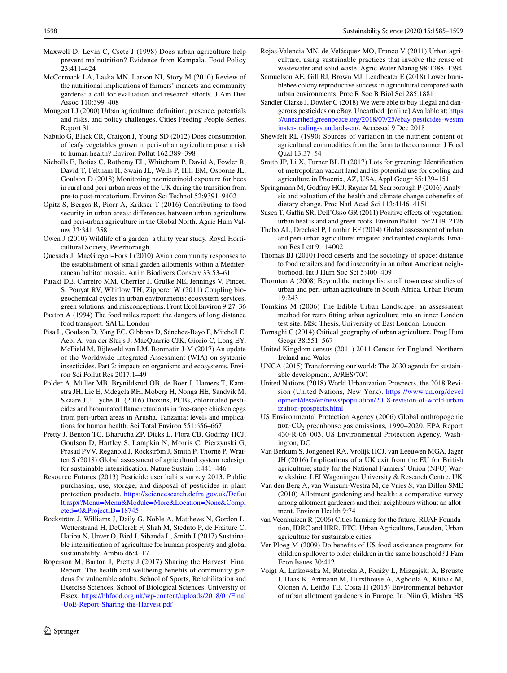- <span id="page-13-7"></span>Maxwell D, Levin C, Csete J (1998) Does urban agriculture help prevent malnutrition? Evidence from Kampala. Food Policy 23:411–424
- McCormack LA, Laska MN, Larson NI, Story M (2010) Review of the nutritional implications of farmers' markets and community gardens: a call for evaluation and research efforts. J Am Diet Assoc 110:399–408
- Mougeot LJ (2000) Urban agriculture: definition, presence, potentials and risks, and policy challenges. Cities Feeding People Series; Report 31
- <span id="page-13-18"></span>Nabulo G, Black CR, Craigon J, Young SD (2012) Does consumption of leafy vegetables grown in peri-urban agriculture pose a risk to human health? Environ Pollut 162:389–398
- <span id="page-13-26"></span>Nicholls E, Botias C, Rotheray EL, Whitehorn P, David A, Fowler R, David T, Feltham H, Swain JL, Wells P, Hill EM, Osborne JL, Goulson D (2018) Monitoring neonicotinoid exposure for bees in rural and peri-urban areas of the UK during the transition from pre-to post-moratorium. Environ Sci Technol 52:9391–9402
- Opitz S, Berges R, Piorr A, Krikser T (2016) Contributing to food security in urban areas: differences between urban agriculture and peri-urban agriculture in the Global North. Agric Hum Values 33:341–358
- Owen J (2010) Wildlife of a garden: a thirty year study. Royal Horticultural Society, Peterborough
- <span id="page-13-24"></span>Quesada J, MacGregor–Fors I (2010) Avian community responses to the establishment of small garden allotments within a Mediterranean habitat mosaic. Anim Biodivers Conserv 33:53–61
- <span id="page-13-22"></span>Pataki DE, Carreiro MM, Cherrier J, Grulke NE, Jennings V, Pincetl S, Pouyat RV, Whitlow TH, Zipperer W (2011) Coupling biogeochemical cycles in urban environments: ecosystem services, green solutions, and misconceptions. Front Ecol Environ 9:27–36
- <span id="page-13-23"></span>Paxton A (1994) The food miles report: the dangers of long distance food transport. SAFE, London
- <span id="page-13-13"></span>Pisa L, Goulson D, Yang EC, Gibbons D, Sánchez-Bayo F, Mitchell E, Aebi A, van der Sluijs J, MacQuarrie CJK, Giorio C, Long EY, McField M, Bijleveld van LM, Bonmatin J-M (2017) An update of the Worldwide Integrated Assessment (WIA) on systemic insecticides. Part 2: impacts on organisms and ecosystems. Environ Sci Pollut Res 2017:1–49
- <span id="page-13-16"></span>Polder A, Müller MB, Brynildsrud OB, de Boer J, Hamers T, Kamstra JH, Lie E, Mdegela RH, Moberg H, Nonga HE, Sandvik M, Skaare JU, Lyche JL (2016) Dioxins, PCBs, chlorinated pesticides and brominated flame retardants in free-range chicken eggs from peri-urban areas in Arusha, Tanzania: levels and implications for human health. Sci Total Environ 551:656–667
- <span id="page-13-1"></span>Pretty J, Benton TG, Bharucha ZP, Dicks L, Flora CB, Godfray HCJ, Goulson D, Hartley S, Lampkin N, Morris C, Pierzynski G, Prasad PVV, Reganold J, Rockström J, Smith P, Thorne P, Wratten S (2018) Global assessment of agricultural system redesign for sustainable intensification. Nature Sustain 1:441–446
- <span id="page-13-14"></span>Resource Futures (2013) Pesticide user habits survey 2013. Public purchasing, use, storage, and disposal of pesticides in plant protection products. https://sciencesearch.defra.gov.uk/Defau lt.aspx?Menu=Menu&Module=More&Location=None&Compl eted=0&ProjectID=18745
- <span id="page-13-0"></span>Rockström J, Williams J, Daily G, Noble A, Matthews N, Gordon L, Wetterstrand H, DeClerck F, Shah M, Steduto P, de Fraiture C, Hatibu N, Unver O, Bird J, Sibanda L, Smith J (2017) Sustainable intensification of agriculture for human prosperity and global sustainability. Ambio 46:4–17
- <span id="page-13-28"></span>Rogerson M, Barton J, Pretty J (2017) Sharing the Harvest: Final Report. The health and wellbeing benefits of community gardens for vulnerable adults. School of Sports, Rehabilitation and Exercise Sciences, School of Biological Sciences, University of Essex. https://bhfood.org.uk/wp-content/uploads/2018/01/Final -UoE-Report-Sharing-the-Harvest.pdf
- <span id="page-13-20"></span>Rojas-Valencia MN, de Velásquez MO, Franco V (2011) Urban agriculture, using sustainable practices that involve the reuse of wastewater and solid waste. Agric Water Manag 98:1388–1394
- <span id="page-13-25"></span>Samuelson AE, Gill RJ, Brown MJ, Leadbeater E (2018) Lower bumblebee colony reproductive success in agricultural compared with urban environments. Proc R Soc B Biol Sci 285:1881
- <span id="page-13-17"></span>Sandler Clarke J, Dowler C (2018) We were able to buy illegal and dangerous pesticides on eBay. Unearthed. [online] Available at: [https](https://unearthed.greenpeace.org/2018/07/25/ebay-pesticides-westminster-trading-standards-eu/) ://unearthed.greenpeace.org/2018/07/25/ebay-pesticides-westm inster-trading-standards-eu/. Accessed 9 Dec 2018
- <span id="page-13-11"></span>Shewfelt RL (1990) Sources of variation in the nutrient content of agricultural commodities from the farm to the consumer. J Food Qual 13:37–54
- Smith JP, Li X, Turner BL II (2017) Lots for greening: Identification of metropolitan vacant land and its potential use for cooling and agriculture in Phoenix, AZ, USA. Appl Geogr 85:139–151
- Springmann M, Godfray HCJ, Rayner M, Scarborough P (2016) Analysis and valuation of the health and climate change cobenefits of dietary change. Proc Natl Acad Sci 113:4146–4151
- <span id="page-13-21"></span>Susca T, Gaffin SR, Dell'Osso GR (2011) Positive effects of vegetation: urban heat island and green roofs. Environ Pollut 159:2119–2126
- <span id="page-13-5"></span>Thebo AL, Drechsel P, Lambin EF (2014) Global assessment of urban and peri-urban agriculture: irrigated and rainfed croplands. Environ Res Lett 9:114002
- <span id="page-13-9"></span>Thomas BJ (2010) Food deserts and the sociology of space: distance to food retailers and food insecurity in an urban American neighborhood. Int J Hum Soc Sci 5:400–409
- <span id="page-13-3"></span>Thornton A (2008) Beyond the metropolis: small town case studies of urban and peri-urban agriculture in South Africa. Urban Forum 19:243
- Tomkins M (2006) The Edible Urban Landscape: an assessment method for retro‐fitting urban agriculture into an inner London test site. MSc Thesis, University of East London, London
- <span id="page-13-4"></span>Tornaghi C (2014) Critical geography of urban agriculture. Prog Hum Geogr 38:551–567
- <span id="page-13-27"></span>United Kingdom census (2011) 2011 Census for England, Northern Ireland and Wales
- <span id="page-13-6"></span>UNGA (2015) Transforming our world: The 2030 agenda for sustainable development, A/RES/70/1
- <span id="page-13-2"></span>United Nations (2018) World Urbanization Prospects, the 2018 Revision (United Nations, New York). https://www.un.org/devel opment/desa/en/news/population/2018-revision-of-world-urban ization-prospects.html
- <span id="page-13-12"></span>US Environmental Protection Agency (2006) Global anthropogenic non-CO<sub>2</sub> greenhouse gas emissions, 1990–2020. EPA Report 430-R-06–003. US Environmental Protection Agency, Washington, DC
- <span id="page-13-19"></span>Van Berkum S, Jongeneel RA, Vrolijk HCJ, van Leeuwen MGA, Jager JH (2016) Implications of a UK exit from the EU for British agriculture; study for the National Farmers' Union (NFU) Warwickshire. LEI Wageningen University & Research Centre, UK
- <span id="page-13-15"></span>Van den Berg A, van Winsum-Westra M, de Vries S, van Dillen SME (2010) Allotment gardening and health: a comparative survey among allotment gardeners and their neighbours without an allotment. Environ Health 9:74
- <span id="page-13-8"></span>van Veenhuizen R (2006) Cities farming for the future. RUAF Foundation, IDRC and IIRR. ETC. Urban Agriculture, Leusden, Urban agriculture for sustainable cities
- <span id="page-13-10"></span>Ver Ploeg M (2009) Do benefits of US food assistance programs for children spillover to older children in the same household? J Fam Econ Issues 30:412
- Voigt A, Latkowska M, Rutecka A, Poniży L, Mizgajski A, Breuste J, Haas K, Artmann M, Hursthouse A, Agboola A, Külvik M, Olonen A, Leitão TE, Costa H (2015) Environmental behavior of urban allotment gardeners in Europe. In: Niin G, Mishra HS